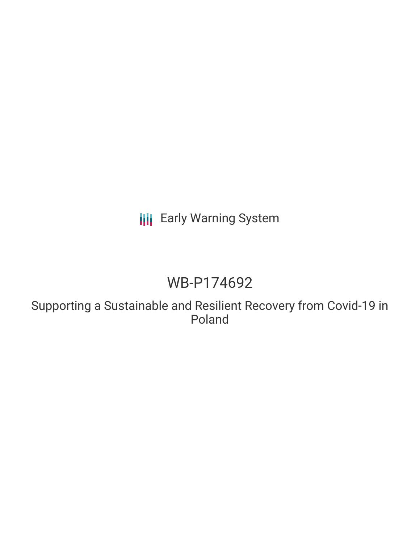# **III** Early Warning System

# WB-P174692

Supporting a Sustainable and Resilient Recovery from Covid-19 in Poland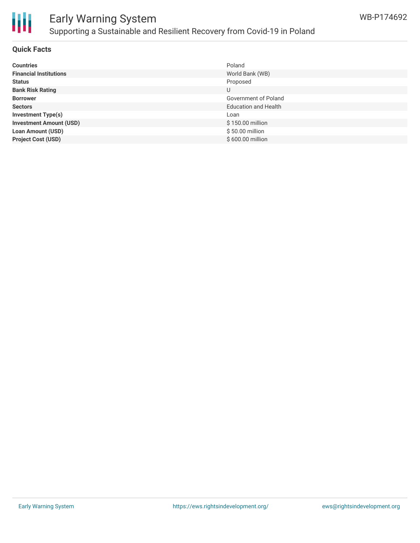

## Early Warning System Supporting a Sustainable and Resilient Recovery from Covid-19 in Poland

#### **Quick Facts**

| <b>Countries</b>               | Poland                      |
|--------------------------------|-----------------------------|
| <b>Financial Institutions</b>  | World Bank (WB)             |
| <b>Status</b>                  | Proposed                    |
| <b>Bank Risk Rating</b>        | U                           |
| <b>Borrower</b>                | Government of Poland        |
| <b>Sectors</b>                 | <b>Education and Health</b> |
| <b>Investment Type(s)</b>      | Loan                        |
| <b>Investment Amount (USD)</b> | \$150.00 million            |
| <b>Loan Amount (USD)</b>       | \$50.00 million             |
| <b>Project Cost (USD)</b>      | \$600.00 million            |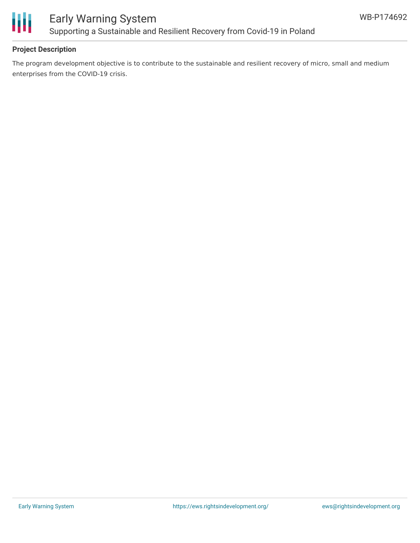

## **Project Description**

The program development objective is to contribute to the sustainable and resilient recovery of micro, small and medium enterprises from the COVID-19 crisis.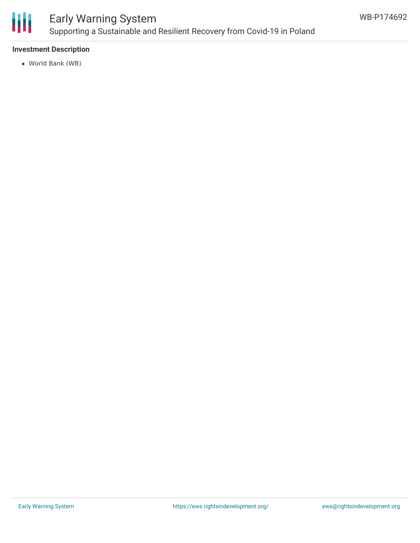

# Early Warning System Supporting a Sustainable and Resilient Recovery from Covid-19 in Poland

## **Investment Description**

World Bank (WB)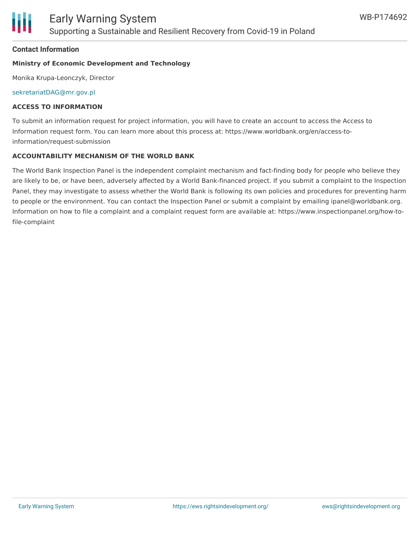#### **Contact Information**

#### **Ministry of Economic Development and Technology**

Monika Krupa-Leonczyk, Director

[sekretariatDAG@mr.gov.pl](mailto:sekretariatDAG@mr.gov.pl)

### **ACCESS TO INFORMATION**

To submit an information request for project information, you will have to create an account to access the Access to Information request form. You can learn more about this process at: https://www.worldbank.org/en/access-toinformation/request-submission

#### **ACCOUNTABILITY MECHANISM OF THE WORLD BANK**

The World Bank Inspection Panel is the independent complaint mechanism and fact-finding body for people who believe they are likely to be, or have been, adversely affected by a World Bank-financed project. If you submit a complaint to the Inspection Panel, they may investigate to assess whether the World Bank is following its own policies and procedures for preventing harm to people or the environment. You can contact the Inspection Panel or submit a complaint by emailing ipanel@worldbank.org. Information on how to file a complaint and a complaint request form are available at: https://www.inspectionpanel.org/how-tofile-complaint